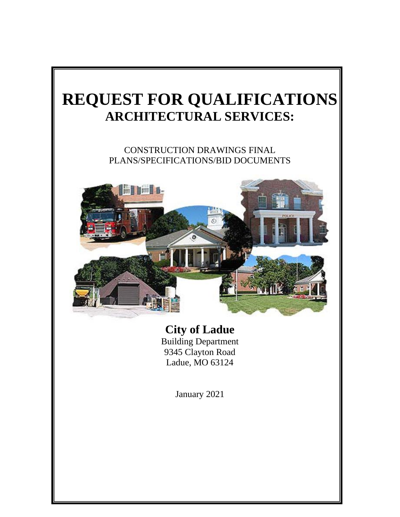# **REQUEST FOR QUALIFICATIONS ARCHITECTURAL SERVICES:**

CONSTRUCTION DRAWINGS FINAL PLANS/SPECIFICATIONS/BID DOCUMENTS



**City of Ladue** Building Department 9345 Clayton Road Ladue, MO 63124

January 2021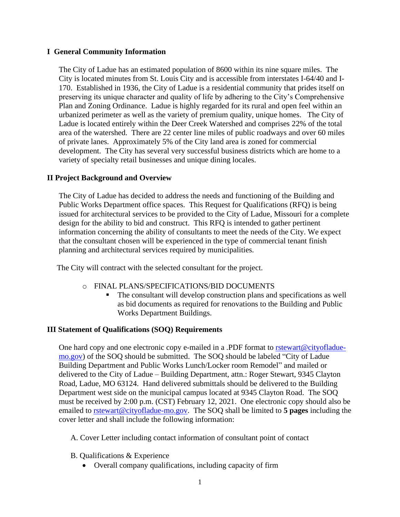# **I General Community Information**

The City of Ladue has an estimated population of 8600 within its nine square miles. The City is located minutes from St. Louis City and is accessible from interstates I-64/40 and I-170. Established in 1936, the City of Ladue is a residential community that prides itself on preserving its unique character and quality of life by adhering to the City's Comprehensive Plan and Zoning Ordinance. Ladue is highly regarded for its rural and open feel within an urbanized perimeter as well as the variety of premium quality, unique homes. The City of Ladue is located entirely within the Deer Creek Watershed and comprises 22% of the total area of the watershed. There are 22 center line miles of public roadways and over 60 miles of private lanes. Approximately 5% of the City land area is zoned for commercial development. The City has several very successful business districts which are home to a variety of specialty retail businesses and unique dining locales.

# **II Project Background and Overview**

The City of Ladue has decided to address the needs and functioning of the Building and Public Works Department office spaces. This Request for Qualifications (RFQ) is being issued for architectural services to be provided to the City of Ladue, Missouri for a complete design for the ability to bid and construct. This RFQ is intended to gather pertinent information concerning the ability of consultants to meet the needs of the City. We expect that the consultant chosen will be experienced in the type of commercial tenant finish planning and architectural services required by municipalities.

The City will contract with the selected consultant for the project.

- o FINAL PLANS/SPECIFICATIONS/BID DOCUMENTS
	- The consultant will develop construction plans and specifications as well as bid documents as required for renovations to the Building and Public Works Department Buildings.

# **III Statement of Qualifications (SOQ) Requirements**

One hard copy and one electronic copy e-mailed in a .PDF format to [rstewart@cityofladue](mailto:rstewart@cityofladue-mo.gov)[mo.gov\)](mailto:rstewart@cityofladue-mo.gov) of the SOQ should be submitted. The SOQ should be labeled "City of Ladue Building Department and Public Works Lunch/Locker room Remodel" and mailed or delivered to the City of Ladue – Building Department, attn.: Roger Stewart, 9345 Clayton Road, Ladue, MO 63124. Hand delivered submittals should be delivered to the Building Department west side on the municipal campus located at 9345 Clayton Road. The SOQ must be received by 2:00 p.m. (CST) February 12, 2021. One electronic copy should also be emailed to [rstewart@cityofladue-mo.gov.](mailto:rstewart@cityofladue-mo.gov) The SOQ shall be limited to **5 pages** including the cover letter and shall include the following information:

A. Cover Letter including contact information of consultant point of contact

- B. Qualifications & Experience
	- Overall company qualifications, including capacity of firm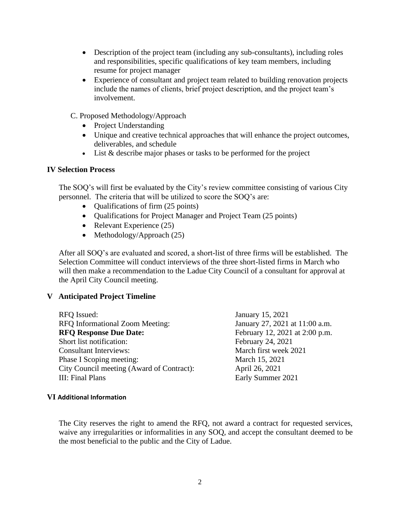- Description of the project team (including any sub-consultants), including roles and responsibilities, specific qualifications of key team members, including resume for project manager
- Experience of consultant and project team related to building renovation projects include the names of clients, brief project description, and the project team's involvement.
- C. Proposed Methodology/Approach
	- Project Understanding
	- Unique and creative technical approaches that will enhance the project outcomes, deliverables, and schedule
	- List & describe major phases or tasks to be performed for the project

#### **IV Selection Process**

The SOQ's will first be evaluated by the City's review committee consisting of various City personnel. The criteria that will be utilized to score the SOQ's are:

- Oualifications of firm (25 points)
- Qualifications for Project Manager and Project Team (25 points)
- Relevant Experience (25)
- Methodology/Approach (25)

After all SOQ's are evaluated and scored, a short-list of three firms will be established. The Selection Committee will conduct interviews of the three short-listed firms in March who will then make a recommendation to the Ladue City Council of a consultant for approval at the April City Council meeting.

### **V Anticipated Project Timeline**

RFQ Issued: January 15, 2021 RFQ Informational Zoom Meeting: January 27, 2021 at 11:00 a.m. **RFQ Response Due Date:** February 12, 2021 at 2:00 p.m. Short list notification: February 24, 2021 Consultant Interviews: March first week 2021 Phase I Scoping meeting: March 15, 2021 City Council meeting (Award of Contract): April 26, 2021 III: Final Plans Early Summer 2021

#### **VI Additional Information**

The City reserves the right to amend the RFQ, not award a contract for requested services, waive any irregularities or informalities in any SOQ, and accept the consultant deemed to be the most beneficial to the public and the City of Ladue.